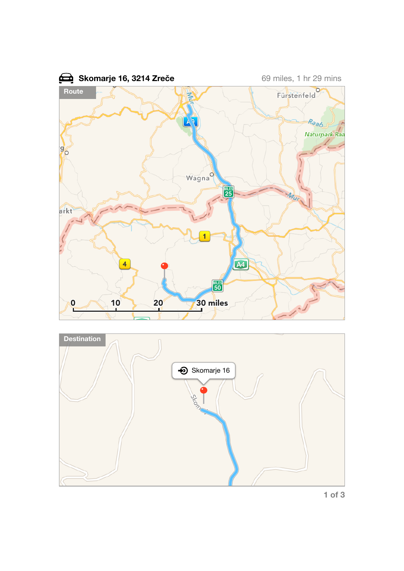



**1 of 3**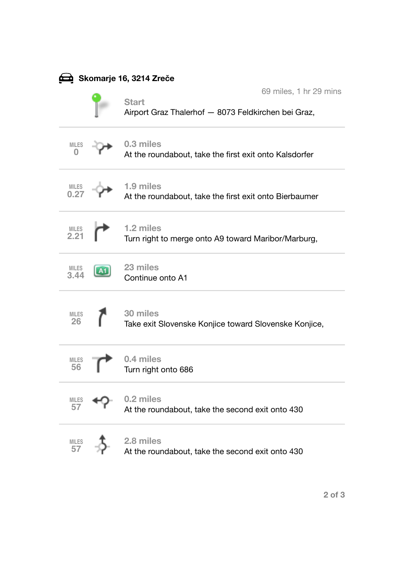